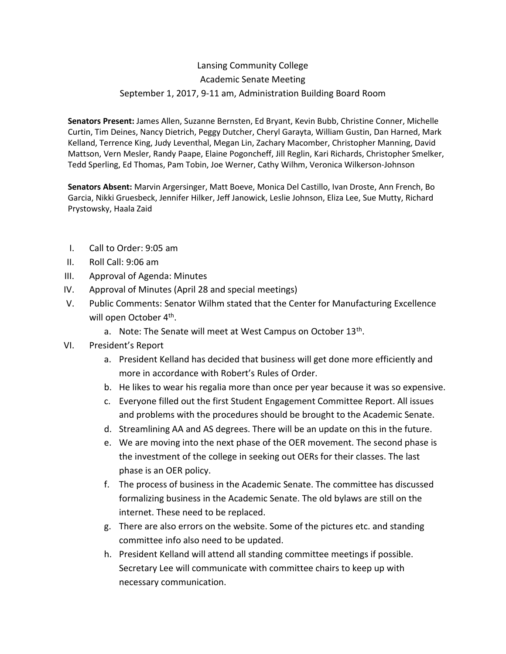## Lansing Community College Academic Senate Meeting September 1, 2017, 9-11 am, Administration Building Board Room

**Senators Present:** James Allen, Suzanne Bernsten, Ed Bryant, Kevin Bubb, Christine Conner, Michelle Curtin, Tim Deines, Nancy Dietrich, Peggy Dutcher, Cheryl Garayta, William Gustin, Dan Harned, Mark Kelland, Terrence King, Judy Leventhal, Megan Lin, Zachary Macomber, Christopher Manning, David Mattson, Vern Mesler, Randy Paape, Elaine Pogoncheff, Jill Reglin, Kari Richards, Christopher Smelker, Tedd Sperling, Ed Thomas, Pam Tobin, Joe Werner, Cathy Wilhm, Veronica Wilkerson-Johnson

**Senators Absent:** Marvin Argersinger, Matt Boeve, Monica Del Castillo, Ivan Droste, Ann French, Bo Garcia, Nikki Gruesbeck, Jennifer Hilker, Jeff Janowick, Leslie Johnson, Eliza Lee, Sue Mutty, Richard Prystowsky, Haala Zaid

- I. Call to Order: 9:05 am
- II. Roll Call: 9:06 am
- III. Approval of Agenda: Minutes
- IV. Approval of Minutes (April 28 and special meetings)
- V. Public Comments: Senator Wilhm stated that the Center for Manufacturing Excellence will open October 4<sup>th</sup>.
	- a. Note: The Senate will meet at West Campus on October 13<sup>th</sup>.
- VI. President's Report
	- a. President Kelland has decided that business will get done more efficiently and more in accordance with Robert's Rules of Order.
	- b. He likes to wear his regalia more than once per year because it was so expensive.
	- c. Everyone filled out the first Student Engagement Committee Report. All issues and problems with the procedures should be brought to the Academic Senate.
	- d. Streamlining AA and AS degrees. There will be an update on this in the future.
	- e. We are moving into the next phase of the OER movement. The second phase is the investment of the college in seeking out OERs for their classes. The last phase is an OER policy.
	- f. The process of business in the Academic Senate. The committee has discussed formalizing business in the Academic Senate. The old bylaws are still on the internet. These need to be replaced.
	- g. There are also errors on the website. Some of the pictures etc. and standing committee info also need to be updated.
	- h. President Kelland will attend all standing committee meetings if possible. Secretary Lee will communicate with committee chairs to keep up with necessary communication.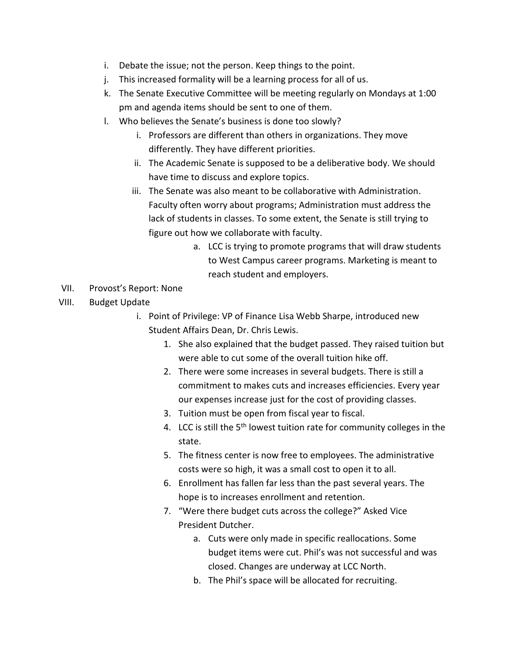- i. Debate the issue; not the person. Keep things to the point.
- j. This increased formality will be a learning process for all of us.
- k. The Senate Executive Committee will be meeting regularly on Mondays at 1:00 pm and agenda items should be sent to one of them.
- l. Who believes the Senate's business is done too slowly?
	- i. Professors are different than others in organizations. They move differently. They have different priorities.
	- ii. The Academic Senate is supposed to be a deliberative body. We should have time to discuss and explore topics.
	- iii. The Senate was also meant to be collaborative with Administration. Faculty often worry about programs; Administration must address the lack of students in classes. To some extent, the Senate is still trying to figure out how we collaborate with faculty.
		- a. LCC is trying to promote programs that will draw students to West Campus career programs. Marketing is meant to reach student and employers.
- VII. Provost's Report: None
- VIII. Budget Update
	- i. Point of Privilege: VP of Finance Lisa Webb Sharpe, introduced new Student Affairs Dean, Dr. Chris Lewis.
		- 1. She also explained that the budget passed. They raised tuition but were able to cut some of the overall tuition hike off.
		- 2. There were some increases in several budgets. There is still a commitment to makes cuts and increases efficiencies. Every year our expenses increase just for the cost of providing classes.
		- 3. Tuition must be open from fiscal year to fiscal.
		- 4. LCC is still the 5<sup>th</sup> lowest tuition rate for community colleges in the state.
		- 5. The fitness center is now free to employees. The administrative costs were so high, it was a small cost to open it to all.
		- 6. Enrollment has fallen far less than the past several years. The hope is to increases enrollment and retention.
		- 7. "Were there budget cuts across the college?" Asked Vice President Dutcher.
			- a. Cuts were only made in specific reallocations. Some budget items were cut. Phil's was not successful and was closed. Changes are underway at LCC North.
			- b. The Phil's space will be allocated for recruiting.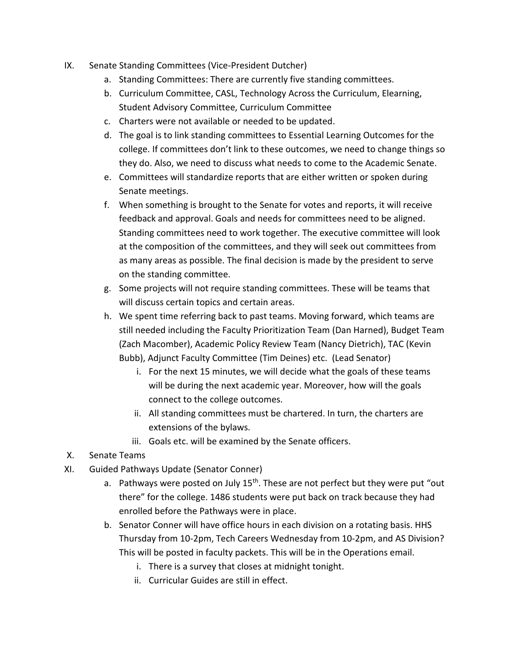- IX. Senate Standing Committees (Vice-President Dutcher)
	- a. Standing Committees: There are currently five standing committees.
	- b. Curriculum Committee, CASL, Technology Across the Curriculum, Elearning, Student Advisory Committee, Curriculum Committee
	- c. Charters were not available or needed to be updated.
	- d. The goal is to link standing committees to Essential Learning Outcomes for the college. If committees don't link to these outcomes, we need to change things so they do. Also, we need to discuss what needs to come to the Academic Senate.
	- e. Committees will standardize reports that are either written or spoken during Senate meetings.
	- f. When something is brought to the Senate for votes and reports, it will receive feedback and approval. Goals and needs for committees need to be aligned. Standing committees need to work together. The executive committee will look at the composition of the committees, and they will seek out committees from as many areas as possible. The final decision is made by the president to serve on the standing committee.
	- g. Some projects will not require standing committees. These will be teams that will discuss certain topics and certain areas.
	- h. We spent time referring back to past teams. Moving forward, which teams are still needed including the Faculty Prioritization Team (Dan Harned), Budget Team (Zach Macomber), Academic Policy Review Team (Nancy Dietrich), TAC (Kevin Bubb), Adjunct Faculty Committee (Tim Deines) etc. (Lead Senator)
		- i. For the next 15 minutes, we will decide what the goals of these teams will be during the next academic year. Moreover, how will the goals connect to the college outcomes.
		- ii. All standing committees must be chartered. In turn, the charters are extensions of the bylaws.
		- iii. Goals etc. will be examined by the Senate officers.
- X. Senate Teams
- XI. Guided Pathways Update (Senator Conner)
	- a. Pathways were posted on July  $15<sup>th</sup>$ . These are not perfect but they were put "out there" for the college. 1486 students were put back on track because they had enrolled before the Pathways were in place.
	- b. Senator Conner will have office hours in each division on a rotating basis. HHS Thursday from 10-2pm, Tech Careers Wednesday from 10-2pm, and AS Division? This will be posted in faculty packets. This will be in the Operations email.
		- i. There is a survey that closes at midnight tonight.
		- ii. Curricular Guides are still in effect.